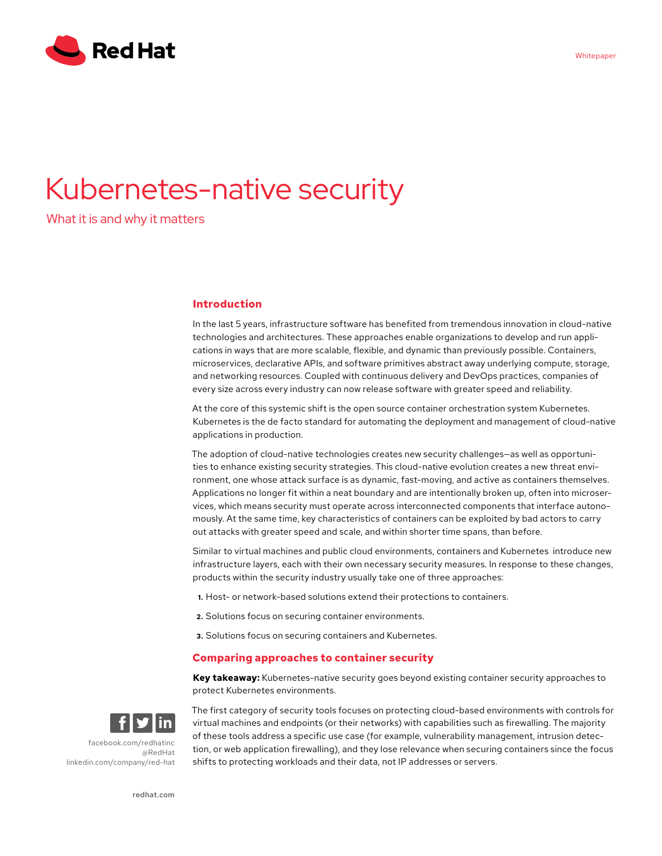

# Kubernetes-native security

What it is and why it matters

# **Introduction**

In the last 5 years, infrastructure software has benefited from tremendous innovation in cloud-native technologies and architectures. These approaches enable organizations to develop and run applications in ways that are more scalable, flexible, and dynamic than previously possible. Containers, microservices, declarative APIs, and software primitives abstract away underlying compute, storage, and networking resources. Coupled with continuous delivery and DevOps practices, companies of every size across every industry can now release software with greater speed and reliability.

At the core of this systemic shift is the open source container orchestration system Kubernetes. Kubernetes is the de facto standard for automating the deployment and management of cloud-native applications in production.

The adoption of cloud-native technologies creates new security challenges—as well as opportunities to enhance existing security strategies. This cloud-native evolution creates a new threat environment, one whose attack surface is as dynamic, fast-moving, and active as containers themselves. Applications no longer fit within a neat boundary and are intentionally broken up, often into microservices, which means security must operate across interconnected components that interface autonomously. At the same time, key characteristics of containers can be exploited by bad actors to carry out attacks with greater speed and scale, and within shorter time spans, than before.

Similar to virtual machines and public cloud environments, containers and Kubernetes introduce new infrastructure layers, each with their own necessary security measures. In response to these changes, products within the security industry usually take one of three approaches:

- **1.** Host- or network-based solutions extend their protections to containers.
- **2.** Solutions focus on securing container environments.
- **3.** Solutions focus on securing containers and Kubernetes.

# **Comparing approaches to container security**

**Key takeaway:** Kubernetes-native security goes beyond existing container security approaches to protect Kubernetes environments.



[facebook.com/redhatinc](http://facebook.com/redhatinc) [@RedHat](https://twitter.com/redhatnews) [linkedin.com/company/red](http://linkedin.com/company/red-hat)-hat

The first category of security tools focuses on protecting cloud-based environments with controls for virtual machines and endpoints (or their networks) with capabilities such as firewalling. The majority of these tools address a specific use case (for example, vulnerability management, intrusion detection, or web application firewalling), and they lose relevance when securing containers since the focus shifts to protecting workloads and their data, not IP addresses or servers.

[redhat.com](http://redhat.com)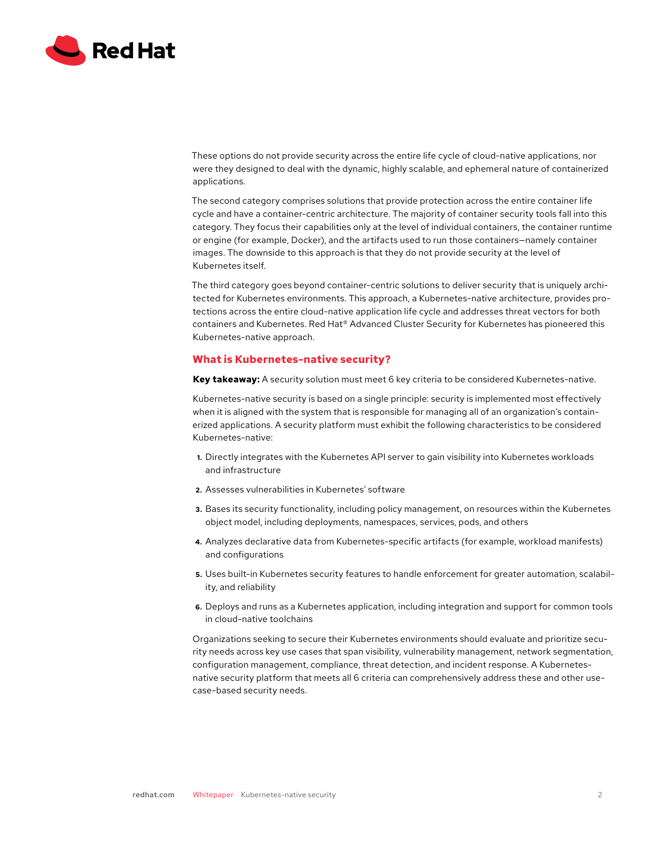

These options do not provide security across the entire life cycle of cloud-native applications, nor were they designed to deal with the dynamic, highly scalable, and ephemeral nature of containerized applications.

The second category comprises solutions that provide protection across the entire container life cycle and have a container-centric architecture. The majority of container security tools fall into this category. They focus their capabilities only at the level of individual containers, the container runtime or engine (for example, Docker), and the artifacts used to run those containers—namely container images. The downside to this approach is that they do not provide security at the level of Kubernetes itself.

The third category goes beyond container-centric solutions to deliver security that is uniquely architected for Kubernetes environments. This approach, a Kubernetes-native architecture, provides protections across the entire cloud-native application life cycle and addresses threat vectors for both containers and Kubernetes. Red Hat® Advanced Cluster Security for Kubernetes has pioneered this Kubernetes-native approach.

# **What is Kubernetes-native security?**

**Key takeaway:** A security solution must meet 6 key criteria to be considered Kubernetes-native.

Kubernetes-native security is based on a single principle: security is implemented most effectively when it is aligned with the system that is responsible for managing all of an organization's containerized applications. A security platform must exhibit the following characteristics to be considered Kubernetes-native:

- **1.** Directly integrates with the Kubernetes API server to gain visibility into Kubernetes workloads and infrastructure
- **2.** Assesses vulnerabilities in Kubernetes' software
- **3.** Bases its security functionality, including policy management, on resources within the Kubernetes object model, including deployments, namespaces, services, pods, and others
- **4.** Analyzes declarative data from Kubernetes-specific artifacts (for example, workload manifests) and configurations
- **5.** Uses built-in Kubernetes security features to handle enforcement for greater automation, scalability, and reliability
- **6.** Deploys and runs as a Kubernetes application, including integration and support for common tools in cloud-native toolchains

Organizations seeking to secure their Kubernetes environments should evaluate and prioritize security needs across key use cases that span visibility, vulnerability management, network segmentation, configuration management, compliance, threat detection, and incident response. A Kubernetesnative security platform that meets all 6 criteria can comprehensively address these and other usecase-based security needs.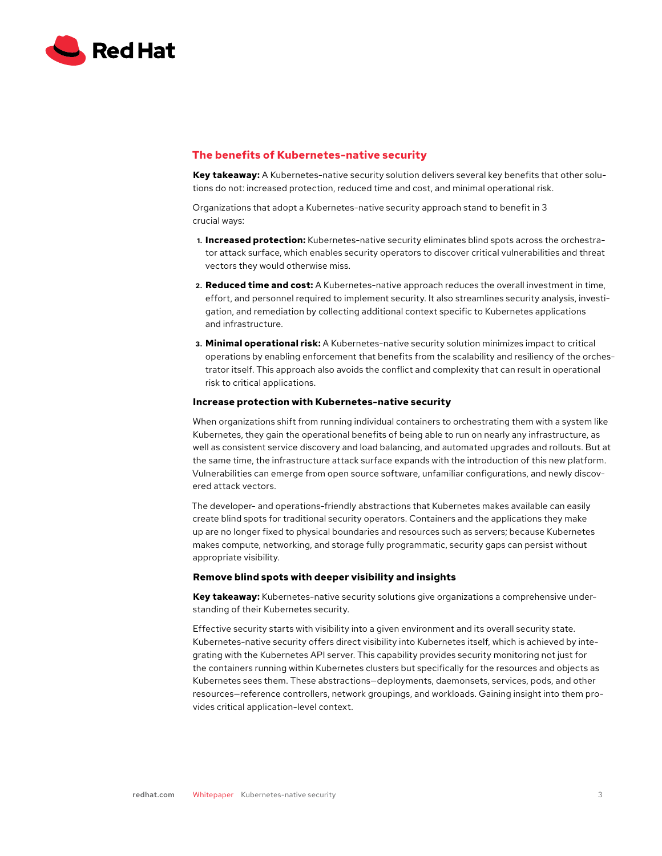

# **The benefits of Kubernetes-native security**

**Key takeaway:** A Kubernetes-native security solution delivers several key benefits that other solutions do not: increased protection, reduced time and cost, and minimal operational risk.

Organizations that adopt a Kubernetes-native security approach stand to benefit in 3 crucial ways:

- **1. Increased protection:** Kubernetes-native security eliminates blind spots across the orchestrator attack surface, which enables security operators to discover critical vulnerabilities and threat vectors they would otherwise miss.
- **2. Reduced time and cost:** A Kubernetes-native approach reduces the overall investment in time, effort, and personnel required to implement security. It also streamlines security analysis, investigation, and remediation by collecting additional context specific to Kubernetes applications and infrastructure.
- **3. Minimal operational risk:** A Kubernetes-native security solution minimizes impact to critical operations by enabling enforcement that benefits from the scalability and resiliency of the orchestrator itself. This approach also avoids the conflict and complexity that can result in operational risk to critical applications.

#### **Increase protection with Kubernetes-native security**

When organizations shift from running individual containers to orchestrating them with a system like Kubernetes, they gain the operational benefits of being able to run on nearly any infrastructure, as well as consistent service discovery and load balancing, and automated upgrades and rollouts. But at the same time, the infrastructure attack surface expands with the introduction of this new platform. Vulnerabilities can emerge from open source software, unfamiliar configurations, and newly discovered attack vectors.

The developer- and operations-friendly abstractions that Kubernetes makes available can easily create blind spots for traditional security operators. Containers and the applications they make up are no longer fixed to physical boundaries and resources such as servers; because Kubernetes makes compute, networking, and storage fully programmatic, security gaps can persist without appropriate visibility.

## **Remove blind spots with deeper visibility and insights**

**Key takeaway:** Kubernetes-native security solutions give organizations a comprehensive understanding of their Kubernetes security.

Effective security starts with visibility into a given environment and its overall security state. Kubernetes-native security offers direct visibility into Kubernetes itself, which is achieved by integrating with the Kubernetes API server. This capability provides security monitoring not just for the containers running within Kubernetes clusters but specifically for the resources and objects as Kubernetes sees them. These abstractions—deployments, daemonsets, services, pods, and other resources—reference controllers, network groupings, and workloads. Gaining insight into them provides critical application-level context.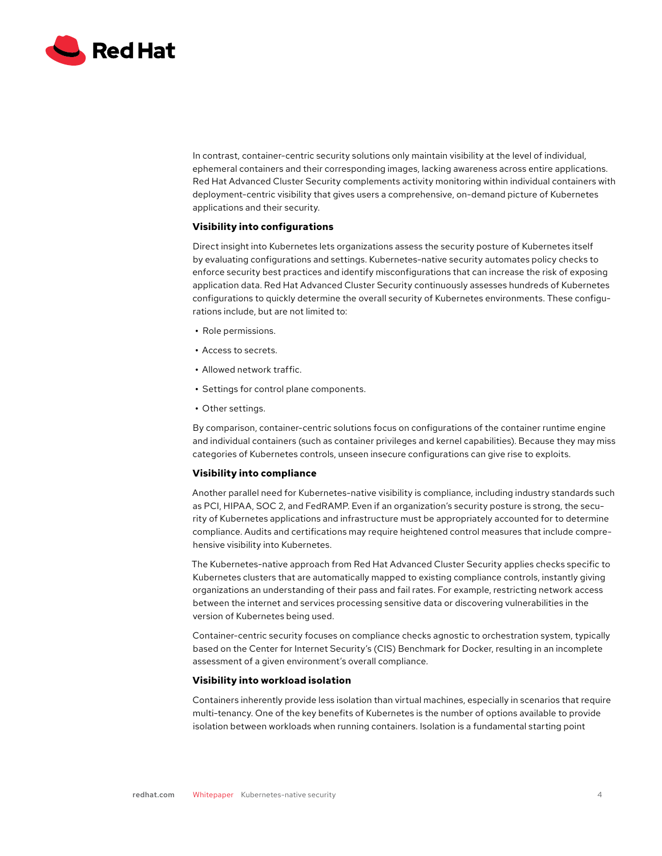

In contrast, container-centric security solutions only maintain visibility at the level of individual, ephemeral containers and their corresponding images, lacking awareness across entire applications. Red Hat Advanced Cluster Security complements activity monitoring within individual containers with deployment-centric visibility that gives users a comprehensive, on-demand picture of Kubernetes applications and their security.

## **Visibility into configurations**

Direct insight into Kubernetes lets organizations assess the security posture of Kubernetes itself by evaluating configurations and settings. Kubernetes-native security automates policy checks to enforce security best practices and identify misconfigurations that can increase the risk of exposing application data. Red Hat Advanced Cluster Security continuously assesses hundreds of Kubernetes configurations to quickly determine the overall security of Kubernetes environments. These configurations include, but are not limited to:

- **•** Role permissions.
- **•** Access to secrets.
- **•** Allowed network traffic.
- **•** Settings for control plane components.
- **•** Other settings.

By comparison, container-centric solutions focus on configurations of the container runtime engine and individual containers (such as container privileges and kernel capabilities). Because they may miss categories of Kubernetes controls, unseen insecure configurations can give rise to exploits.

#### **Visibility into compliance**

Another parallel need for Kubernetes-native visibility is compliance, including industry standards such as PCI, HIPAA, SOC 2, and FedRAMP. Even if an organization's security posture is strong, the security of Kubernetes applications and infrastructure must be appropriately accounted for to determine compliance. Audits and certifications may require heightened control measures that include comprehensive visibility into Kubernetes.

The Kubernetes-native approach from Red Hat Advanced Cluster Security applies checks specific to Kubernetes clusters that are automatically mapped to existing compliance controls, instantly giving organizations an understanding of their pass and fail rates. For example, restricting network access between the internet and services processing sensitive data or discovering vulnerabilities in the version of Kubernetes being used.

Container-centric security focuses on compliance checks agnostic to orchestration system, typically based on the Center for Internet Security's (CIS) Benchmark for Docker, resulting in an incomplete assessment of a given environment's overall compliance.

#### **Visibility into workload isolation**

Containers inherently provide less isolation than virtual machines, especially in scenarios that require multi-tenancy. One of the key benefits of Kubernetes is the number of options available to provide isolation between workloads when running containers. Isolation is a fundamental starting point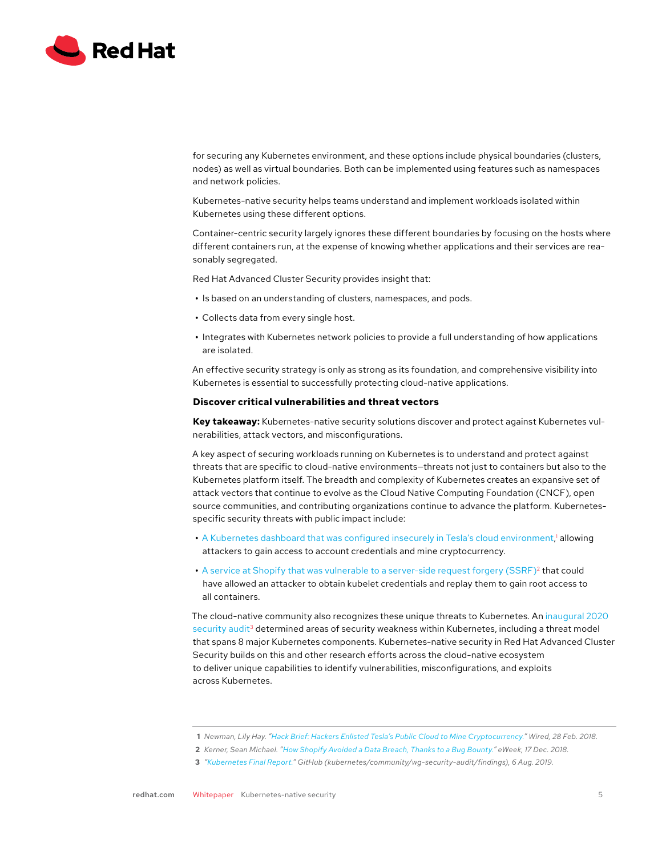

for securing any Kubernetes environment, and these options include physical boundaries (clusters, nodes) as well as virtual boundaries. Both can be implemented using features such as namespaces and network policies.

Kubernetes-native security helps teams understand and implement workloads isolated within Kubernetes using these different options.

Container-centric security largely ignores these different boundaries by focusing on the hosts where different containers run, at the expense of knowing whether applications and their services are reasonably segregated.

Red Hat Advanced Cluster Security provides insight that:

- **•** Is based on an understanding of clusters, namespaces, and pods.
- **•** Collects data from every single host.
- **•** Integrates with Kubernetes network policies to provide a full understanding of how applications are isolated.

An effective security strategy is only as strong as its foundation, and comprehensive visibility into Kubernetes is essential to successfully protecting cloud-native applications.

#### **Discover critical vulnerabilities and threat vectors**

**Key takeaway:** Kubernetes-native security solutions discover and protect against Kubernetes vulnerabilities, attack vectors, and misconfigurations.

A key aspect of securing workloads running on Kubernetes is to understand and protect against threats that are specific to cloud-native environments—threats not just to containers but also to the Kubernetes platform itself. The breadth and complexity of Kubernetes creates an expansive set of attack vectors that continue to evolve as the Cloud Native Computing Foundation (CNCF), open source communities, and contributing organizations continue to advance the platform. Kubernetesspecific security threats with public impact include:

- [A Kubernetes dashboard that was configured insecurely in Tesla's cloud environment](https://www.wired.com/story/cryptojacking-tesla-amazon-cloud/),<sup>1</sup> allowing attackers to gain access to account credentials and mine cryptocurrency.
- A service at Shopify that was vulnerable to a server-side request forgery (SSRF)<sup>2</sup> that could have allowed an attacker to obtain kubelet credentials and replay them to gain root access to all containers.

The cloud-native community also recognizes these unique threats to Kubernetes. An [inaugural 2020](https://github.com/kubernetes/community/blob/d538271/wg-security-audit/findings/Kubernetes%20Final%20Report.pdf)  [security audit](https://github.com/kubernetes/community/blob/d538271/wg-security-audit/findings/Kubernetes%20Final%20Report.pdf)<sup>3</sup> determined areas of security weakness within Kubernetes, including a threat model that spans 8 major Kubernetes components. Kubernetes-native security in Red Hat Advanced Cluster Security builds on this and other research efforts across the cloud-native ecosystem to deliver unique capabilities to identify vulnerabilities, misconfigurations, and exploits across Kubernetes.

**<sup>1</sup>** *Newman, Lily Hay. "[Hack Brief: Hackers Enlisted Tesla's Public Cloud to Mine Cryptocurrency."](https://www.wired.com/story/cryptojacking-tesla-amazon-cloud/) Wired, 28 Feb. 2018.*

**<sup>2</sup>** *Kerner, Sean Michael. "[How Shopify Avoided a Data Breach, Thanks to a Bug Bounty.](https://www.eweek.com/security/how-shopify-avoided-a-data-breach-thanks-to-a-bug-bounty/)" eWeek, 17 Dec. 2018.*

**<sup>3</sup>** *"[Kubernetes Final Report."](https://github.com/kubernetes/community/blob/d538271/wg-security-audit/findings/Kubernetes%20Final%20Report.pdf) GitHub (kubernetes/community/wg-security-audit/findings), 6 Aug. 2019.*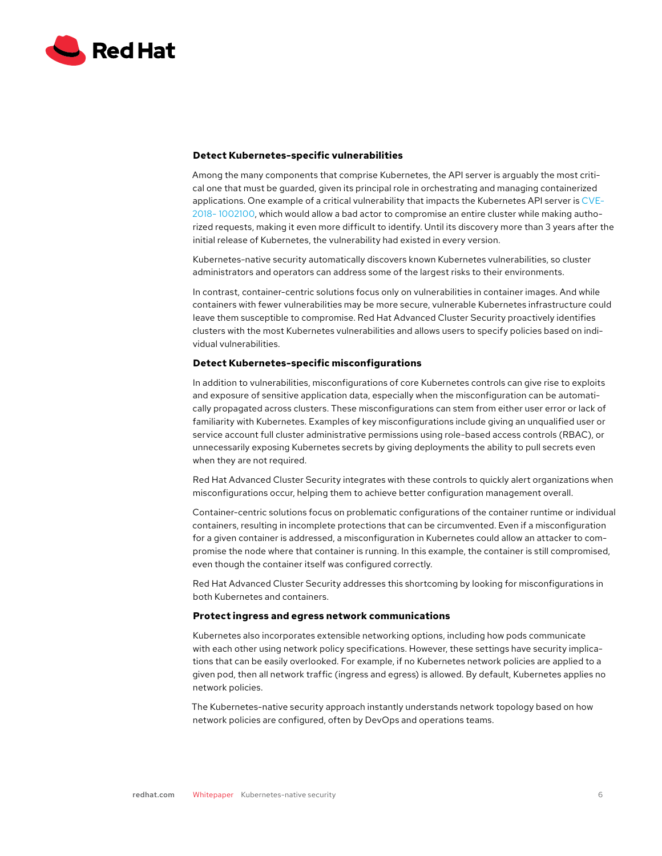

## **Detect Kubernetes-specific vulnerabilities**

Among the many components that comprise Kubernetes, the API server is arguably the most critical one that must be guarded, given its principal role in orchestrating and managing containerized applications. One example of a critical vulnerability that impacts the Kubernetes API server is [CVE-](https://access.redhat.com/security/cve/CVE-2018-1002100)[2018- 1002100,](https://access.redhat.com/security/cve/CVE-2018-1002100) which would allow a bad actor to compromise an entire cluster while making authorized requests, making it even more difficult to identify. Until its discovery more than 3 years after the initial release of Kubernetes, the vulnerability had existed in every version.

Kubernetes-native security automatically discovers known Kubernetes vulnerabilities, so cluster administrators and operators can address some of the largest risks to their environments.

In contrast, container-centric solutions focus only on vulnerabilities in container images. And while containers with fewer vulnerabilities may be more secure, vulnerable Kubernetes infrastructure could leave them susceptible to compromise. Red Hat Advanced Cluster Security proactively identifies clusters with the most Kubernetes vulnerabilities and allows users to specify policies based on individual vulnerabilities.

## **Detect Kubernetes-specific misconfigurations**

In addition to vulnerabilities, misconfigurations of core Kubernetes controls can give rise to exploits and exposure of sensitive application data, especially when the misconfiguration can be automatically propagated across clusters. These misconfigurations can stem from either user error or lack of familiarity with Kubernetes. Examples of key misconfigurations include giving an unqualified user or service account full cluster administrative permissions using role-based access controls (RBAC), or unnecessarily exposing Kubernetes secrets by giving deployments the ability to pull secrets even when they are not required.

Red Hat Advanced Cluster Security integrates with these controls to quickly alert organizations when misconfigurations occur, helping them to achieve better configuration management overall.

Container-centric solutions focus on problematic configurations of the container runtime or individual containers, resulting in incomplete protections that can be circumvented. Even if a misconfiguration for a given container is addressed, a misconfiguration in Kubernetes could allow an attacker to compromise the node where that container is running. In this example, the container is still compromised, even though the container itself was configured correctly.

Red Hat Advanced Cluster Security addresses this shortcoming by looking for misconfigurations in both Kubernetes and containers.

#### **Protect ingress and egress network communications**

Kubernetes also incorporates extensible networking options, including how pods communicate with each other using network policy specifications. However, these settings have security implications that can be easily overlooked. For example, if no Kubernetes network policies are applied to a given pod, then all network traffic (ingress and egress) is allowed. By default, Kubernetes applies no network policies.

The Kubernetes-native security approach instantly understands network topology based on how network policies are configured, often by DevOps and operations teams.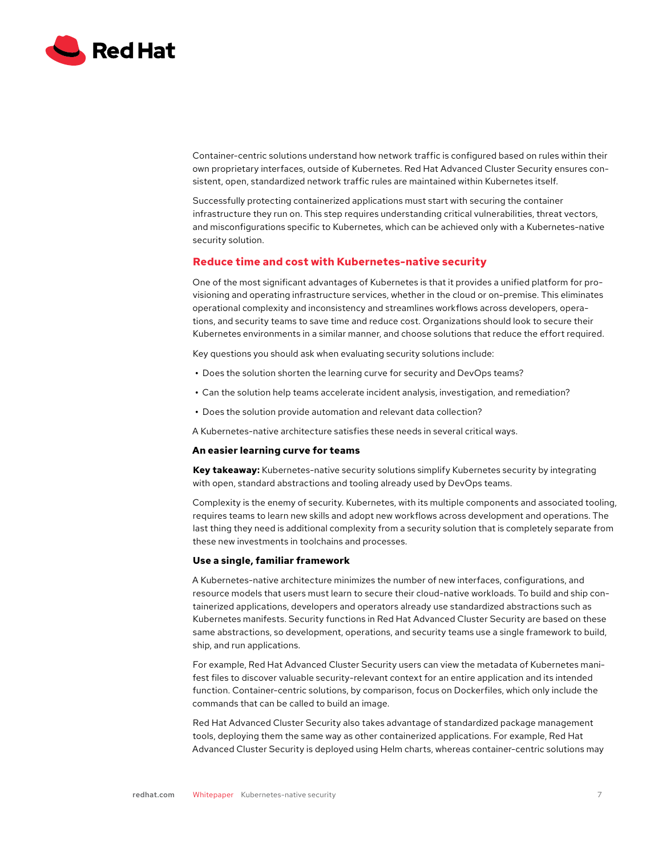

Container-centric solutions understand how network traffic is configured based on rules within their own proprietary interfaces, outside of Kubernetes. Red Hat Advanced Cluster Security ensures consistent, open, standardized network traffic rules are maintained within Kubernetes itself.

Successfully protecting containerized applications must start with securing the container infrastructure they run on. This step requires understanding critical vulnerabilities, threat vectors, and misconfigurations specific to Kubernetes, which can be achieved only with a Kubernetes-native security solution.

# **Reduce time and cost with Kubernetes-native security**

One of the most significant advantages of Kubernetes is that it provides a unified platform for provisioning and operating infrastructure services, whether in the cloud or on-premise. This eliminates operational complexity and inconsistency and streamlines workflows across developers, operations, and security teams to save time and reduce cost. Organizations should look to secure their Kubernetes environments in a similar manner, and choose solutions that reduce the effort required.

Key questions you should ask when evaluating security solutions include:

- **•** Does the solution shorten the learning curve for security and DevOps teams?
- **•** Can the solution help teams accelerate incident analysis, investigation, and remediation?
- **•** Does the solution provide automation and relevant data collection?
- A Kubernetes-native architecture satisfies these needs in several critical ways.

## **An easier learning curve for teams**

**Key takeaway:** Kubernetes-native security solutions simplify Kubernetes security by integrating with open, standard abstractions and tooling already used by DevOps teams.

Complexity is the enemy of security. Kubernetes, with its multiple components and associated tooling, requires teams to learn new skills and adopt new workflows across development and operations. The last thing they need is additional complexity from a security solution that is completely separate from these new investments in toolchains and processes.

#### **Use a single, familiar framework**

A Kubernetes-native architecture minimizes the number of new interfaces, configurations, and resource models that users must learn to secure their cloud-native workloads. To build and ship containerized applications, developers and operators already use standardized abstractions such as Kubernetes manifests. Security functions in Red Hat Advanced Cluster Security are based on these same abstractions, so development, operations, and security teams use a single framework to build, ship, and run applications.

For example, Red Hat Advanced Cluster Security users can view the metadata of Kubernetes manifest files to discover valuable security-relevant context for an entire application and its intended function. Container-centric solutions, by comparison, focus on Dockerfiles, which only include the commands that can be called to build an image.

Red Hat Advanced Cluster Security also takes advantage of standardized package management tools, deploying them the same way as other containerized applications. For example, Red Hat Advanced Cluster Security is deployed using Helm charts, whereas container-centric solutions may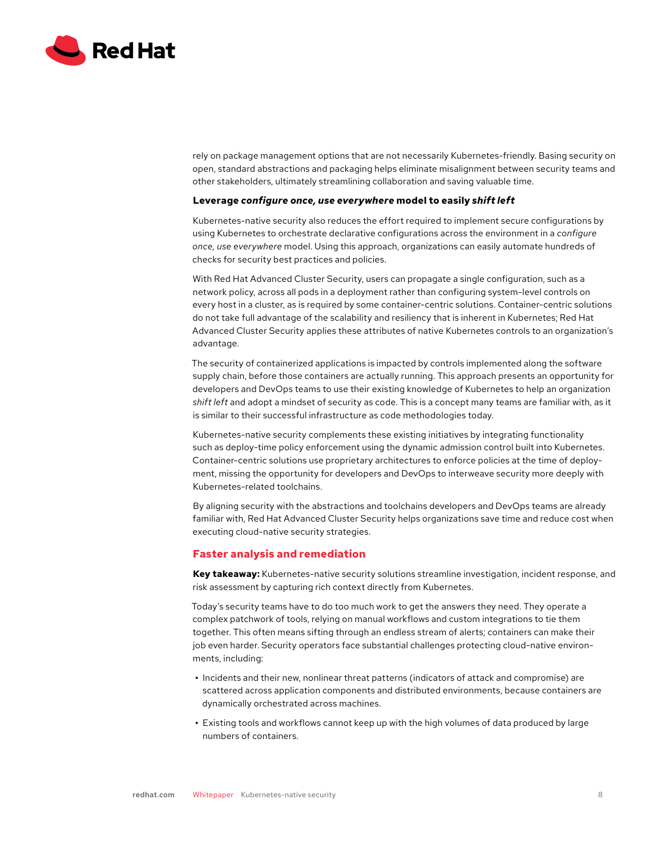

rely on package management options that are not necessarily Kubernetes-friendly. Basing security on open, standard abstractions and packaging helps eliminate misalignment between security teams and other stakeholders, ultimately streamlining collaboration and saving valuable time.

## **Leverage** *configure once, use everywhere* **model to easily** *shift left*

Kubernetes-native security also reduces the effort required to implement secure configurations by using Kubernetes to orchestrate declarative configurations across the environment in a *configure once, use everywhere* model. Using this approach, organizations can easily automate hundreds of checks for security best practices and policies.

With Red Hat Advanced Cluster Security, users can propagate a single configuration, such as a network policy, across all pods in a deployment rather than configuring system-level controls on every host in a cluster, as is required by some container-centric solutions. Container-centric solutions do not take full advantage of the scalability and resiliency that is inherent in Kubernetes; Red Hat Advanced Cluster Security applies these attributes of native Kubernetes controls to an organization's advantage.

The security of containerized applications is impacted by controls implemented along the software supply chain, before those containers are actually running. This approach presents an opportunity for developers and DevOps teams to use their existing knowledge of Kubernetes to help an organization *shift left* and adopt a mindset of security as code. This is a concept many teams are familiar with, as it is similar to their successful infrastructure as code methodologies today.

Kubernetes-native security complements these existing initiatives by integrating functionality such as deploy-time policy enforcement using the dynamic admission control built into Kubernetes. Container-centric solutions use proprietary architectures to enforce policies at the time of deployment, missing the opportunity for developers and DevOps to interweave security more deeply with Kubernetes-related toolchains.

By aligning security with the abstractions and toolchains developers and DevOps teams are already familiar with, Red Hat Advanced Cluster Security helps organizations save time and reduce cost when executing cloud-native security strategies.

# **Faster analysis and remediation**

**Key takeaway:** Kubernetes-native security solutions streamline investigation, incident response, and risk assessment by capturing rich context directly from Kubernetes.

Today's security teams have to do too much work to get the answers they need. They operate a complex patchwork of tools, relying on manual workflows and custom integrations to tie them together. This often means sifting through an endless stream of alerts; containers can make their job even harder. Security operators face substantial challenges protecting cloud-native environments, including:

- **•** Incidents and their new, nonlinear threat patterns (indicators of attack and compromise) are scattered across application components and distributed environments, because containers are dynamically orchestrated across machines.
- **•** Existing tools and workflows cannot keep up with the high volumes of data produced by large numbers of containers.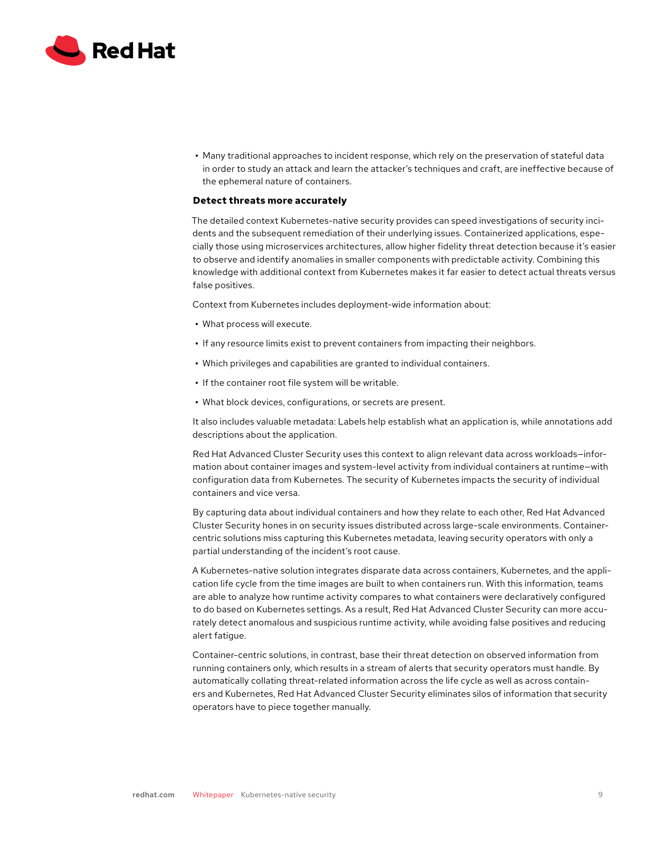

**•** Many traditional approaches to incident response, which rely on the preservation of stateful data in order to study an attack and learn the attacker's techniques and craft, are ineffective because of the ephemeral nature of containers.

# **Detect threats more accurately**

The detailed context Kubernetes-native security provides can speed investigations of security incidents and the subsequent remediation of their underlying issues. Containerized applications, especially those using microservices architectures, allow higher fidelity threat detection because it's easier to observe and identify anomalies in smaller components with predictable activity. Combining this knowledge with additional context from Kubernetes makes it far easier to detect actual threats versus false positives.

Context from Kubernetes includes deployment-wide information about:

- **•** What process will execute.
- **•** If any resource limits exist to prevent containers from impacting their neighbors.
- **•** Which privileges and capabilities are granted to individual containers.
- **•** If the container root file system will be writable.
- **•** What block devices, configurations, or secrets are present.

It also includes valuable metadata: Labels help establish what an application is, while annotations add descriptions about the application.

Red Hat Advanced Cluster Security uses this context to align relevant data across workloads—information about container images and system-level activity from individual containers at runtime—with configuration data from Kubernetes. The security of Kubernetes impacts the security of individual containers and vice versa.

By capturing data about individual containers and how they relate to each other, Red Hat Advanced Cluster Security hones in on security issues distributed across large-scale environments. Containercentric solutions miss capturing this Kubernetes metadata, leaving security operators with only a partial understanding of the incident's root cause.

A Kubernetes-native solution integrates disparate data across containers, Kubernetes, and the application life cycle from the time images are built to when containers run. With this information, teams are able to analyze how runtime activity compares to what containers were declaratively configured to do based on Kubernetes settings. As a result, Red Hat Advanced Cluster Security can more accurately detect anomalous and suspicious runtime activity, while avoiding false positives and reducing alert fatigue.

Container-centric solutions, in contrast, base their threat detection on observed information from running containers only, which results in a stream of alerts that security operators must handle. By automatically collating threat-related information across the life cycle as well as across containers and Kubernetes, Red Hat Advanced Cluster Security eliminates silos of information that security operators have to piece together manually.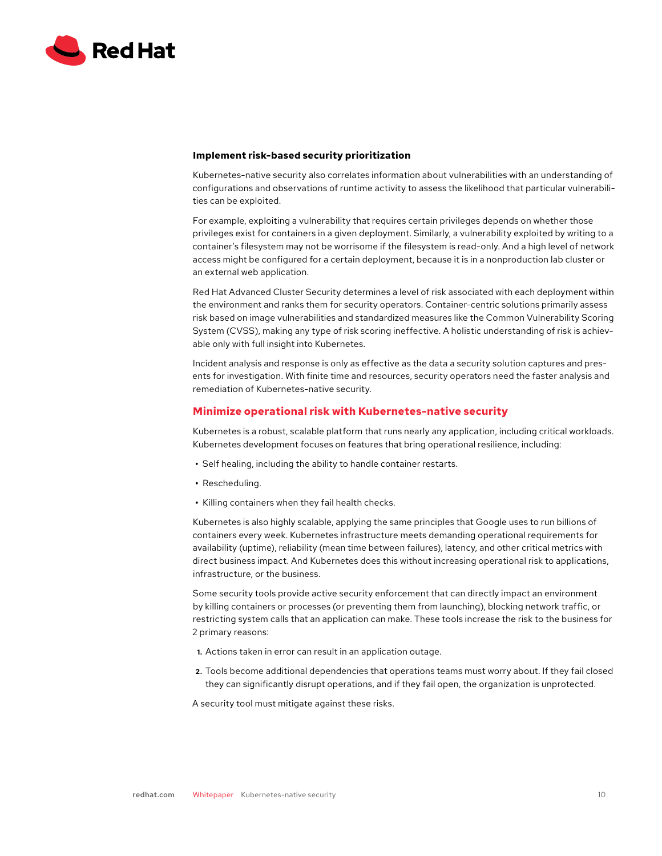

### **Implement risk-based security prioritization**

Kubernetes-native security also correlates information about vulnerabilities with an understanding of configurations and observations of runtime activity to assess the likelihood that particular vulnerabilities can be exploited.

For example, exploiting a vulnerability that requires certain privileges depends on whether those privileges exist for containers in a given deployment. Similarly, a vulnerability exploited by writing to a container's filesystem may not be worrisome if the filesystem is read-only. And a high level of network access might be configured for a certain deployment, because it is in a nonproduction lab cluster or an external web application.

Red Hat Advanced Cluster Security determines a level of risk associated with each deployment within the environment and ranks them for security operators. Container-centric solutions primarily assess risk based on image vulnerabilities and standardized measures like the Common Vulnerability Scoring System (CVSS), making any type of risk scoring ineffective. A holistic understanding of risk is achievable only with full insight into Kubernetes.

Incident analysis and response is only as effective as the data a security solution captures and presents for investigation. With finite time and resources, security operators need the faster analysis and remediation of Kubernetes-native security.

## **Minimize operational risk with Kubernetes-native security**

Kubernetes is a robust, scalable platform that runs nearly any application, including critical workloads. Kubernetes development focuses on features that bring operational resilience, including:

- **•** Self healing, including the ability to handle container restarts.
- **•** Rescheduling.
- **•** Killing containers when they fail health checks.

Kubernetes is also highly scalable, applying the same principles that Google uses to run billions of containers every week. Kubernetes infrastructure meets demanding operational requirements for availability (uptime), reliability (mean time between failures), latency, and other critical metrics with direct business impact. And Kubernetes does this without increasing operational risk to applications, infrastructure, or the business.

Some security tools provide active security enforcement that can directly impact an environment by killing containers or processes (or preventing them from launching), blocking network traffic, or restricting system calls that an application can make. These tools increase the risk to the business for 2 primary reasons:

- **1.** Actions taken in error can result in an application outage.
- **2.** Tools become additional dependencies that operations teams must worry about. If they fail closed they can significantly disrupt operations, and if they fail open, the organization is unprotected.

A security tool must mitigate against these risks.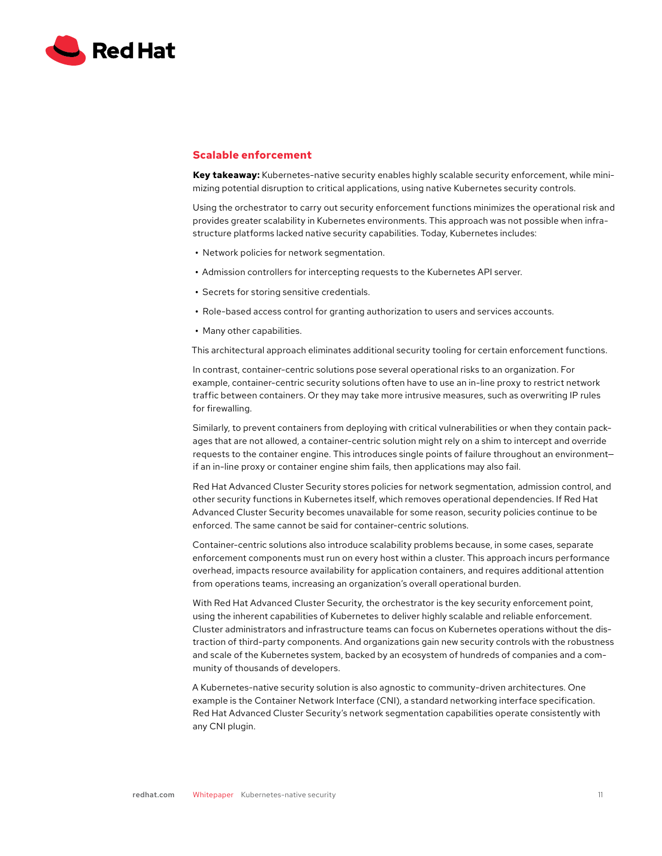

# **Scalable enforcement**

**Key takeaway:** Kubernetes-native security enables highly scalable security enforcement, while minimizing potential disruption to critical applications, using native Kubernetes security controls.

Using the orchestrator to carry out security enforcement functions minimizes the operational risk and provides greater scalability in Kubernetes environments. This approach was not possible when infrastructure platforms lacked native security capabilities. Today, Kubernetes includes:

- **•** Network policies for network segmentation.
- **•** Admission controllers for intercepting requests to the Kubernetes API server.
- **•** Secrets for storing sensitive credentials.
- **•** Role-based access control for granting authorization to users and services accounts.
- **•** Many other capabilities.

This architectural approach eliminates additional security tooling for certain enforcement functions.

In contrast, container-centric solutions pose several operational risks to an organization. For example, container-centric security solutions often have to use an in-line proxy to restrict network traffic between containers. Or they may take more intrusive measures, such as overwriting IP rules for firewalling.

Similarly, to prevent containers from deploying with critical vulnerabilities or when they contain packages that are not allowed, a container-centric solution might rely on a shim to intercept and override requests to the container engine. This introduces single points of failure throughout an environment if an in-line proxy or container engine shim fails, then applications may also fail.

Red Hat Advanced Cluster Security stores policies for network segmentation, admission control, and other security functions in Kubernetes itself, which removes operational dependencies. If Red Hat Advanced Cluster Security becomes unavailable for some reason, security policies continue to be enforced. The same cannot be said for container-centric solutions.

Container-centric solutions also introduce scalability problems because, in some cases, separate enforcement components must run on every host within a cluster. This approach incurs performance overhead, impacts resource availability for application containers, and requires additional attention from operations teams, increasing an organization's overall operational burden.

With Red Hat Advanced Cluster Security, the orchestrator is the key security enforcement point, using the inherent capabilities of Kubernetes to deliver highly scalable and reliable enforcement. Cluster administrators and infrastructure teams can focus on Kubernetes operations without the distraction of third-party components. And organizations gain new security controls with the robustness and scale of the Kubernetes system, backed by an ecosystem of hundreds of companies and a community of thousands of developers.

A Kubernetes-native security solution is also agnostic to community-driven architectures. One example is the Container Network Interface (CNI), a standard networking interface specification. Red Hat Advanced Cluster Security's network segmentation capabilities operate consistently with any CNI plugin.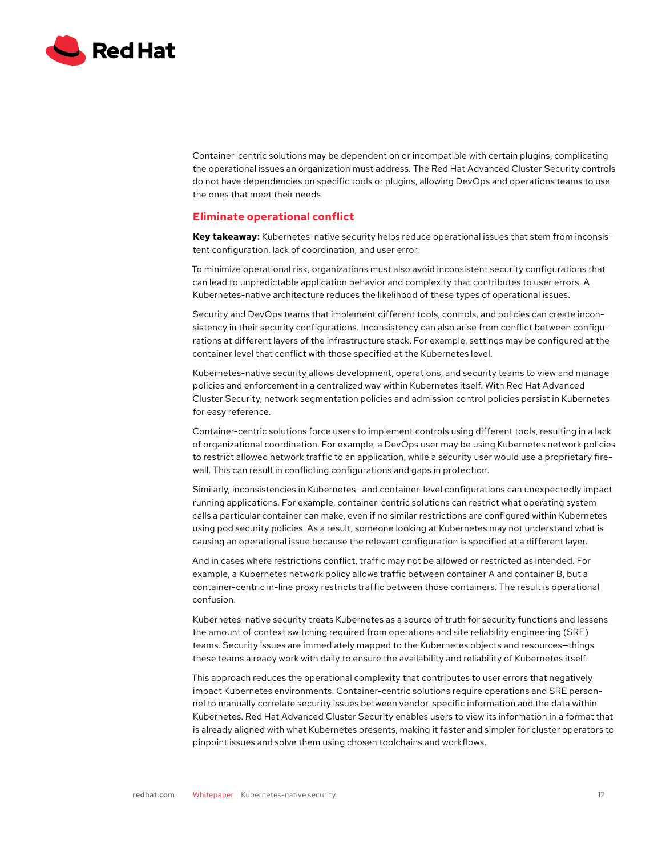

Container-centric solutions may be dependent on or incompatible with certain plugins, complicating the operational issues an organization must address. The Red Hat Advanced Cluster Security controls do not have dependencies on specific tools or plugins, allowing DevOps and operations teams to use the ones that meet their needs.

# **Eliminate operational conflict**

**Key takeaway:** Kubernetes-native security helps reduce operational issues that stem from inconsistent configuration, lack of coordination, and user error.

To minimize operational risk, organizations must also avoid inconsistent security configurations that can lead to unpredictable application behavior and complexity that contributes to user errors. A Kubernetes-native architecture reduces the likelihood of these types of operational issues.

Security and DevOps teams that implement different tools, controls, and policies can create inconsistency in their security configurations. Inconsistency can also arise from conflict between configurations at different layers of the infrastructure stack. For example, settings may be configured at the container level that conflict with those specified at the Kubernetes level.

Kubernetes-native security allows development, operations, and security teams to view and manage policies and enforcement in a centralized way within Kubernetes itself. With Red Hat Advanced Cluster Security, network segmentation policies and admission control policies persist in Kubernetes for easy reference.

Container-centric solutions force users to implement controls using different tools, resulting in a lack of organizational coordination. For example, a DevOps user may be using Kubernetes network policies to restrict allowed network traffic to an application, while a security user would use a proprietary firewall. This can result in conflicting configurations and gaps in protection.

Similarly, inconsistencies in Kubernetes- and container-level configurations can unexpectedly impact running applications. For example, container-centric solutions can restrict what operating system calls a particular container can make, even if no similar restrictions are configured within Kubernetes using pod security policies. As a result, someone looking at Kubernetes may not understand what is causing an operational issue because the relevant configuration is specified at a different layer.

And in cases where restrictions conflict, traffic may not be allowed or restricted as intended. For example, a Kubernetes network policy allows traffic between container A and container B, but a container-centric in-line proxy restricts traffic between those containers. The result is operational confusion.

Kubernetes-native security treats Kubernetes as a source of truth for security functions and lessens the amount of context switching required from operations and site reliability engineering (SRE) teams. Security issues are immediately mapped to the Kubernetes objects and resources—things these teams already work with daily to ensure the availability and reliability of Kubernetes itself.

This approach reduces the operational complexity that contributes to user errors that negatively impact Kubernetes environments. Container-centric solutions require operations and SRE personnel to manually correlate security issues between vendor-specific information and the data within Kubernetes. Red Hat Advanced Cluster Security enables users to view its information in a format that is already aligned with what Kubernetes presents, making it faster and simpler for cluster operators to pinpoint issues and solve them using chosen toolchains and workflows.